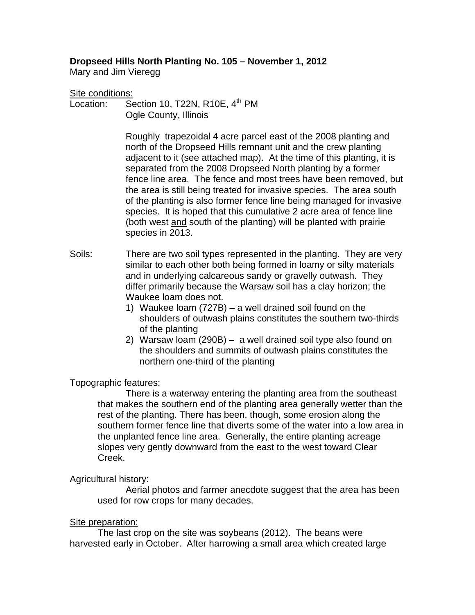# **Dropseed Hills North Planting No. 105 – November 1, 2012**

Mary and Jim Vieregg

#### Site conditions:

Location: Section 10, T22N, R10E,  $4<sup>th</sup>$  PM Ogle County, Illinois

> Roughly trapezoidal 4 acre parcel east of the 2008 planting and north of the Dropseed Hills remnant unit and the crew planting adjacent to it (see attached map). At the time of this planting, it is separated from the 2008 Dropseed North planting by a former fence line area. The fence and most trees have been removed, but the area is still being treated for invasive species. The area south of the planting is also former fence line being managed for invasive species. It is hoped that this cumulative 2 acre area of fence line (both west and south of the planting) will be planted with prairie species in 2013.

- Soils: There are two soil types represented in the planting. They are very similar to each other both being formed in loamy or silty materials and in underlying calcareous sandy or gravelly outwash. They differ primarily because the Warsaw soil has a clay horizon; the Waukee loam does not.
	- 1) Waukee loam (727B) a well drained soil found on the shoulders of outwash plains constitutes the southern two-thirds of the planting
	- 2) Warsaw loam (290B) a well drained soil type also found on the shoulders and summits of outwash plains constitutes the northern one-third of the planting

## Topographic features:

 There is a waterway entering the planting area from the southeast that makes the southern end of the planting area generally wetter than the rest of the planting. There has been, though, some erosion along the southern former fence line that diverts some of the water into a low area in the unplanted fence line area. Generally, the entire planting acreage slopes very gently downward from the east to the west toward Clear Creek.

## Agricultural history:

 Aerial photos and farmer anecdote suggest that the area has been used for row crops for many decades.

## Site preparation:

 The last crop on the site was soybeans (2012). The beans were harvested early in October. After harrowing a small area which created large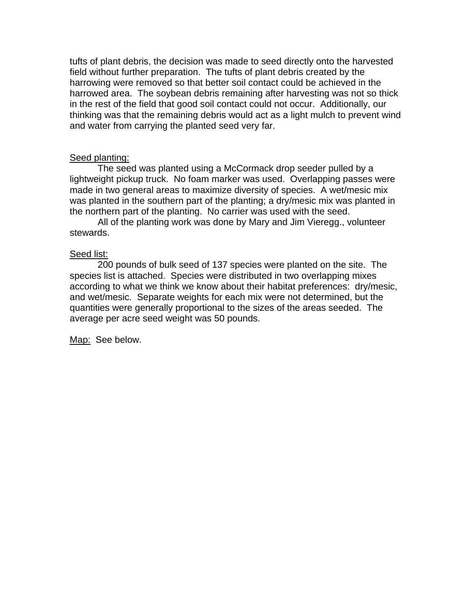tufts of plant debris, the decision was made to seed directly onto the harvested field without further preparation. The tufts of plant debris created by the harrowing were removed so that better soil contact could be achieved in the harrowed area. The soybean debris remaining after harvesting was not so thick in the rest of the field that good soil contact could not occur. Additionally, our thinking was that the remaining debris would act as a light mulch to prevent wind and water from carrying the planted seed very far.

#### Seed planting:

 The seed was planted using a McCormack drop seeder pulled by a lightweight pickup truck. No foam marker was used. Overlapping passes were made in two general areas to maximize diversity of species. A wet/mesic mix was planted in the southern part of the planting; a dry/mesic mix was planted in the northern part of the planting. No carrier was used with the seed.

All of the planting work was done by Mary and Jim Vieregg., volunteer stewards.

#### Seed list:

 200 pounds of bulk seed of 137 species were planted on the site. The species list is attached. Species were distributed in two overlapping mixes according to what we think we know about their habitat preferences: dry/mesic, and wet/mesic. Separate weights for each mix were not determined, but the quantities were generally proportional to the sizes of the areas seeded. The average per acre seed weight was 50 pounds.

Map: See below.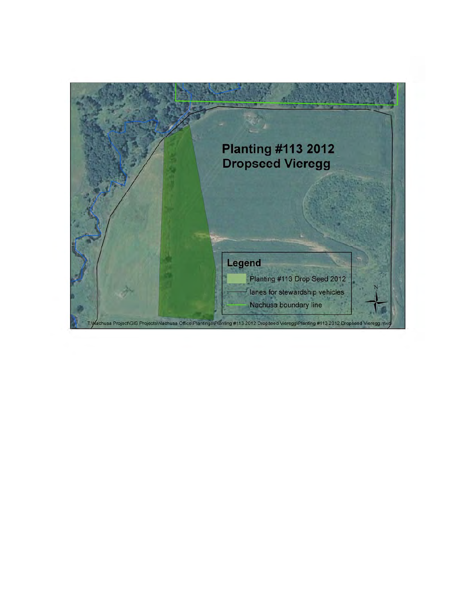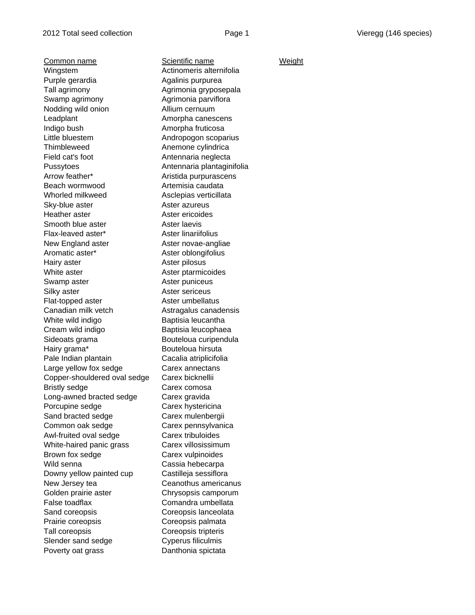Common name Scientific name Weight Wingstem **Actinomeris alternifolia** Purple gerardia and algorithm and Agalinis purpurea Tall agrimony and agrimonia gryposepala Swamp agrimony **Agrimonia** parviflora Nodding wild onion **Allium cernuum** Leadplant **Amorpha canescens** Indigo bush **Amorpha fruticosa** Little bluestem Andropogon scoparius Thimbleweed **Anemone cylindrica** Field cat's foot **Antennaria neglecta** Pussytoes **Antennaria plantaginifolia** Arrow feather\* Aristida purpurascens Beach wormwood **Artemisia caudata** Whorled milkweed Asclepias verticillata Sky-blue aster **Aster azureus** Heather aster **Aster ericoides** Smooth blue aster **Aster Laevis** Flax-leaved aster\* Aster linariifolius New England aster **Aster novae-angliae** Aromatic aster\* Aster oblongifolius Hairy aster **Aster pilosus** White aster **Aster ptarmicoides** Swamp aster **Aster puniceus** Silky aster **Aster sericeus** Flat-topped aster **Aster umbellatus** Canadian milk vetch Astragalus canadensis White wild indigo **Baptisia leucantha** Cream wild indigo Baptisia leucophaea Sideoats grama Bouteloua curipendula Hairy grama\* Bouteloua hirsuta Pale Indian plantain **Cacalia atriplicifolia** Large yellow fox sedge Carex annectans Copper-shouldered oval sedge Carex bicknellii Bristly sedge Carex comosa Long-awned bracted sedge Carex gravida Porcupine sedge Carex hystericina Sand bracted sedge Carex mulenbergii Common oak sedge Carex pennsylvanica Awl-fruited oval sedge Carex tribuloides White-haired panic grass Carex villosissimum Brown fox sedge Carex vulpinoides Wild senna **Cassia** hebecarpa Downy yellow painted cup Castilleja sessiflora New Jersey tea **Ceanothus** americanus Golden prairie aster Chrysopsis camporum False toadflax Comandra umbellata Sand coreopsis **Coreopsis Coreopsis** lanceolata Prairie coreopsis **Exercise Coreopsis palmata** Tall coreopsis Coreopsis tripteris Slender sand sedge Cyperus filiculmis Poverty oat grass Danthonia spictata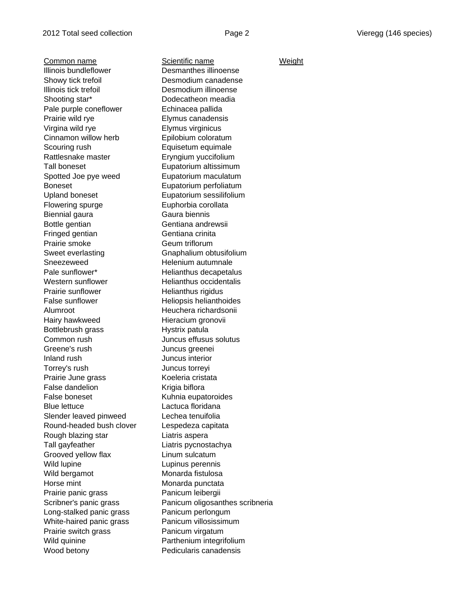Common name Scientific name Weight Illinois bundleflower Desmanthes illinoense Showy tick trefoil **Desmodium canadense** Illinois tick trefoil Desmodium illinoense Shooting star\* Dodecatheon meadia Pale purple coneflower Echinacea pallida Prairie wild rye **Elymus** canadensis Virgina wild rye Elymus virginicus Cinnamon willow herb Epilobium coloratum Scouring rush **Equisetum** equimale Rattlesnake master **Eryngium yuccifolium** Tall boneset **Eupatorium** altissimum Spotted Joe pye weed Eupatorium maculatum Boneset Eupatorium perfoliatum Upland boneset Eupatorium sessilifolium Flowering spurge Euphorbia corollata Biennial gaura **Gaura** Gaura biennis Bottle gentian Gentiana andrewsii Fringed gentian Gentiana crinita Prairie smoke Geum triflorum Sweet everlasting Gnaphalium obtusifolium Sneezeweed Helenium autumnale Pale sunflower\* Thelianthus decapetalus Western sunflower Helianthus occidentalis Prairie sunflower False Helianthus rigidus<br>
False sunflower Heliopsis helianth Alumroot Heuchera richardsonii Hairy hawkweed Hieracium gronovii Bottlebrush grass **Hystrix patula** Common rush Juncus effusus solutus Greene's rush Juncus greenei Inland rush Juncus interior Torrey's rush Juncus torreyi Prairie June grass Koeleria cristata False dandelion **Krigia** biflora False boneset **Kuhnia** eupatoroides Blue lettuce Lactuca floridana Slender leaved pinweed Lechea tenuifolia Round-headed bush clover Lespedeza capitata Rough blazing star Liatris aspera Tall gayfeather Liatris pycnostachya Grooved yellow flax **Linum sulcatum** Wild lupine **Lupinus Lupinus** perennis Wild bergamot Monarda fistulosa Horse mint **Monarda** punctata Prairie panic grass Panicum leibergii Long-stalked panic grass Panicum perlongum White-haired panic grass Panicum villosissimum Prairie switch grass Panicum virgatum Wild quinine **Parthenium** integrifolium Wood betony **Pedicularis canadensis** 

Heliopsis helianthoides Scribner's panic grass Panicum oligosanthes scribneria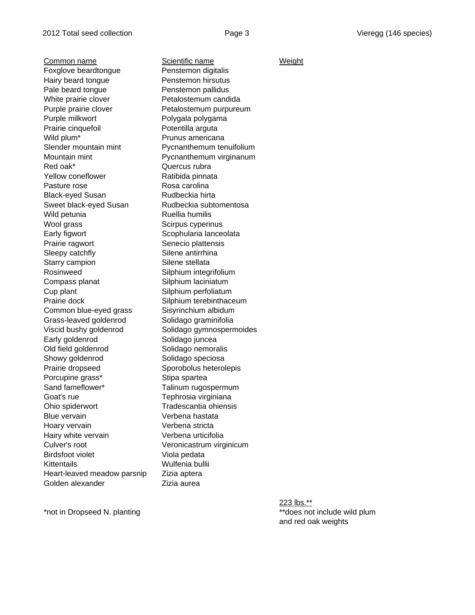Common name Scientific name Weight Foxglove beardtongue Penstemon digitalis Hairy beard tongue **Penstemon hirsutus** Pale beard tongue **Penstemon pallidus** White prairie clover **Petalostemum candida** Purple prairie clover Petalostemum purpureum Purple milkwort **Polygala polygama** Prairie cinquefoil Potentilla arguta Wild plum<sup>\*</sup> Prunus americana Slender mountain mint Pycnanthemum tenuifolium Mountain mint Pycnanthemum virginanum Red oak\* Cuercus rubra Yellow coneflower Ratibida pinnata Pasture rose Rosa carolina Black-eyed Susan Rudbeckia hirta Sweet black-eyed Susan Rudbeckia subtomentosa Wild petunia **Ruellia** humilis Wool grass Scirpus cyperinus Early figwort Scophularia lanceolata Prairie ragwort Senecio plattensis Sleepy catchfly Silene antirrhina Starry campion Silene stellata Rosinweed Silphium integrifolium Compass planat Silphium laciniatum Cup plant Silphium perfoliatum Prairie dock Silphium terebinthaceum Common blue-eyed grass Sisyrinchium albidum Grass-leaved goldenrod Solidago graminifolia Viscid bushy goldenrod Solidago gymnospermoides Early goldenrod Solidago juncea Old field goldenrod Solidago nemoralis Showy goldenrod Solidago speciosa Prairie dropseed Sporobolus heterolepis Porcupine grass\* Stipa spartea Sand fameflower\* Talinum rugospermum Goat's rue **Tephrosia** virginiana Ohio spiderwort Tradescantia ohiensis Blue vervain Verbena hastata Hoary vervain Verbena stricta Hairy white vervain **Verbena** urticifolia Culver's root Veronicastrum virginicum Birdsfoot violet Viola pedata Kittentails **Wulfenia bullii** Heart-leaved meadow parsnip Zizia aptera Golden alexander **Example 2** Zizia aurea

223 lbs.\*\* \*not in Dropseed N. planting the state of the state of the state of the state of the state of the state of the state of the state of the state of the state of the state of the state of the state of the state of the state o and red oak weights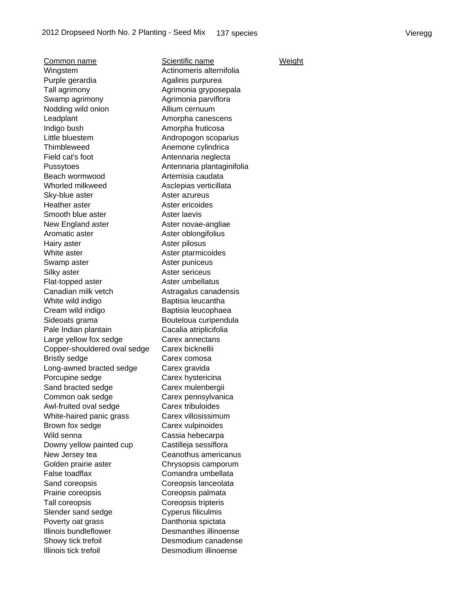Common name Scientific name Weight Wingstem **Actinomeris alternifolia** Purple gerardia and algorithm and Agalinis purpurea Tall agrimony and agrimonia gryposepala Swamp agrimony **Agrimonia** parviflora Nodding wild onion **Allium cernuum** Leadplant **Amorpha canescens** Indigo bush **Amorpha fruticosa** Little bluestem Andropogon scoparius Thimbleweed **Anemone cylindrica** Field cat's foot **Antennaria neglecta** Pussytoes **Antennaria plantaginifolia** Beach wormwood **Artemisia** caudata Whorled milkweed **Asclepias verticillata** Sky-blue aster **Aster azureus** Heather aster **Aster ericoides** Smooth blue aster **Aster laevis** New England aster **Aster novae-angliae** Aromatic aster **Aster oblongifolius** Hairy aster **Aster pilosus** White aster **Aster ptarmicoides** Swamp aster **Aster puniceus** Silky aster **Aster sericeus** Flat-topped aster **Aster umbellatus** Canadian milk vetch Astragalus canadensis White wild indigo **Baptisia leucantha** Cream wild indigo Baptisia leucophaea Sideoats grama Bouteloua curipendula Pale Indian plantain **Cacalia** atriplicifolia Large yellow fox sedge Carex annectans Copper-shouldered oval sedge Carex bicknellii Bristly sedge Carex comosa Long-awned bracted sedge Carex gravida Porcupine sedge Carex hystericina Sand bracted sedge Carex mulenbergii Common oak sedge Carex pennsylvanica Awl-fruited oval sedge Carex tribuloides White-haired panic grass Carex villosissimum Brown fox sedge Carex vulpinoides Wild senna Cassia hebecarpa Downy yellow painted cup Castilleja sessiflora New Jersey tea Ceanothus americanus Golden prairie aster **Chrysopsis camporum** False toadflax Comandra umbellata Sand coreopsis **Sand coreopsis** Coreopsis lanceolata Prairie coreopsis **Coreopsis palmata** Tall coreopsis Coreopsis tripteris Slender sand sedge Cyperus filiculmis Poverty oat grass Danthonia spictata Illinois bundleflower Desmanthes illinoense Showy tick trefoil Desmodium canadense Illinois tick trefoil Desmodium illinoense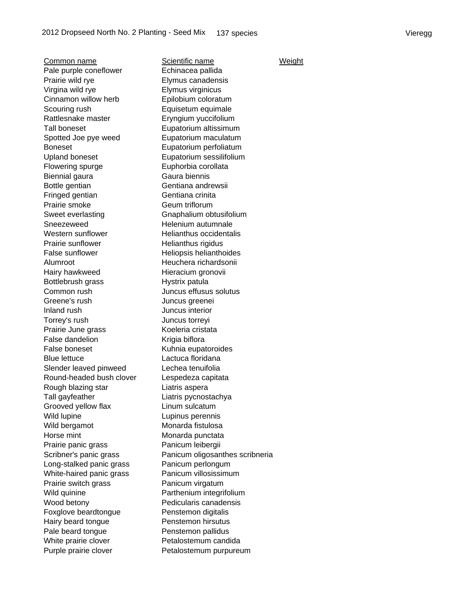Common name Scientific name Weight Pale purple coneflower Echinacea pallida Prairie wild rye **Elymus** canadensis Virgina wild rye Elymus virginicus Cinnamon willow herb Epilobium coloratum Scouring rush Equisetum equimale Rattlesnake master Eryngium yuccifolium Tall boneset **Eupatorium** altissimum Spotted Joe pye weed Eupatorium maculatum Boneset Eupatorium perfoliatum Upland boneset Eupatorium sessilifolium Flowering spurge **Euphorbia** corollata Biennial gaura **Gaura** Gaura biennis Bottle gentian Gentiana andrewsii Fringed gentian Gentiana crinita Prairie smoke Geum triflorum Sweet everlasting Gnaphalium obtusifolium Sneezeweed Helenium autumnale Western sunflower Helianthus occidentalis Prairie sunflower Helianthus rigidus False sunflower Heliopsis helianthoides Alumroot Heuchera richardsonii Hairy hawkweed **Hieracium gronovii** Bottlebrush grass **Hystrix patula** Common rush Juncus effusus solutus Greene's rush **Juncus** greenei Inland rush Juncus interior Torrey's rush **Juncus** torreyi Prairie June grass Koeleria cristata False dandelion Krigia biflora False boneset Kuhnia eupatoroides Blue lettuce Lactuca floridana Slender leaved pinweed Lechea tenuifolia Round-headed bush clover Lespedeza capitata Rough blazing star Liatris aspera Tall gayfeather **Liatris pycnostachya** Grooved yellow flax **Linum sulcatum** Wild lupine **Lupinus perennis** Wild bergamot Monarda fistulosa Horse mint Monarda punctata Prairie panic grass Panicum leibergii Long-stalked panic grass Panicum perlongum White-haired panic grass Panicum villosissimum Prairie switch grass Panicum virgatum Wild quinine **Parthenium integrifolium** Wood betony **Pedicularis canadensis** Foxglove beardtongue Penstemon digitalis Hairy beard tongue **Penstemon hirsutus** Pale beard tongue **Penstemon pallidus** White prairie clover **Petalostemum candida** 

Scribner's panic grass Panicum oligosanthes scribneria Purple prairie clover **Petalostemum purpureum**